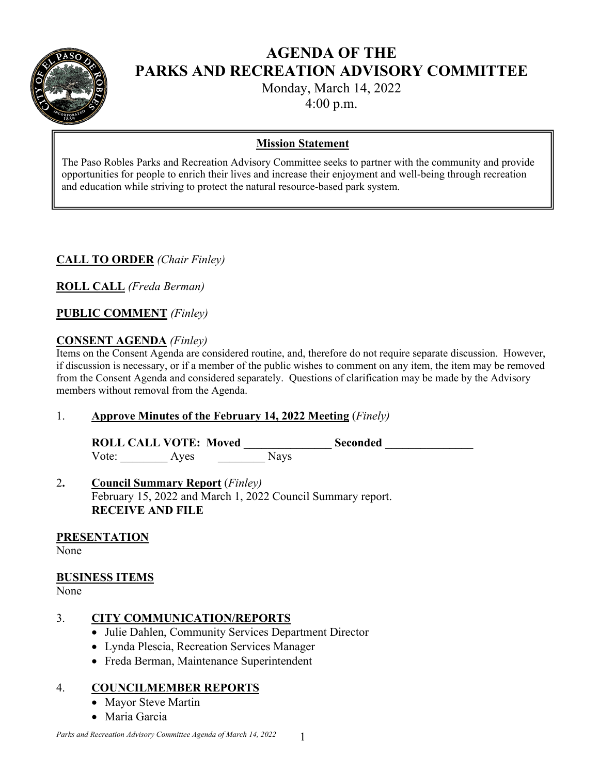

# **AGENDA OF THE PARKS AND RECREATION ADVISORY COMMITTEE**

Monday, March 14, 2022

4:00 p.m.

#### **Mission Statement**

The Paso Robles Parks and Recreation Advisory Committee seeks to partner with the community and provide opportunities for people to enrich their lives and increase their enjoyment and well-being through recreation and education while striving to protect the natural resource-based park system.

## **CALL TO ORDER** *(Chair Finley)*

**ROLL CALL** *(Freda Berman)* 

**PUBLIC COMMENT** *(Finley)* 

### **CONSENT AGENDA** *(Finley)*

Items on the Consent Agenda are considered routine, and, therefore do not require separate discussion. However, if discussion is necessary, or if a member of the public wishes to comment on any item, the item may be removed from the Consent Agenda and considered separately. Questions of clarification may be made by the Advisory members without removal from the Agenda.

### 1. **Approve Minutes of the February 14, 2022 Meeting** (*Finely)*

**ROLL CALL VOTE: Moved \_\_\_\_\_\_\_\_\_\_\_\_\_\_\_ Seconded \_\_\_\_\_\_\_\_\_\_\_\_\_\_\_**  Vote: Ayes Nays

#### 2**. Council Summary Report** (*Finley)* February 15, 2022 and March 1, 2022 Council Summary report. **RECEIVE AND FILE**

### **PRESENTATION**

None

### **BUSINESS ITEMS**

None

### 3. **CITY COMMUNICATION/REPORTS**

- Julie Dahlen, Community Services Department Director
- Lynda Plescia, Recreation Services Manager
- Freda Berman, Maintenance Superintendent

### 4. **COUNCILMEMBER REPORTS**

- Mayor Steve Martin
- Maria Garcia